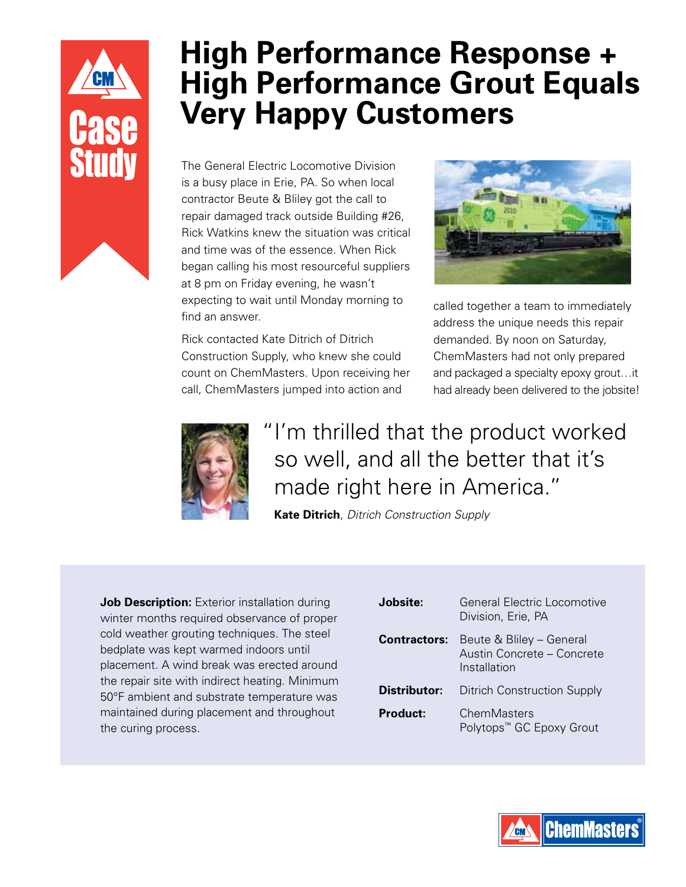

# **High Performance Response + High Performance Grout Equals Very Happy Customers**

The General Electric Locomotive Division is a busy place in Erie, PA. So when local contractor Beute & Bliley got the call to repair damaged track outside Building #26, Rick Watkins knew the situation was critical and time was of the essence. When Rick began calling his most resourceful suppliers at 8 pm on Friday evening, he wasn't expecting to wait until Monday morning to find an answer.

Rick contacted Kate Ditrich of Ditrich Construction Supply, who knew she could count on ChemMasters. Upon receiving her call, ChemMasters jumped into action and



called together a team to immediately address the unique needs this repair demanded. By noon on Saturday, ChemMasters had not only prepared and packaged a specialty epoxy grout…it had already been delivered to the jobsite!



## "I'm thrilled that the product worked so well, and all the better that it's made right here in America."

**Kate Ditrich**, *Ditrich Construction Supply*

**Job Description:** Exterior installation during winter months required observance of proper cold weather grouting techniques. The steel bedplate was kept warmed indoors until placement. A wind break was erected around the repair site with indirect heating. Minimum 50°F ambient and substrate temperature was maintained during placement and throughout the curing process.

| Jobsite:            | General Flectric Locomotive<br>Division, Erie, PA                      |
|---------------------|------------------------------------------------------------------------|
| <b>Contractors:</b> | Beute & Bliley - General<br>Austin Concrete - Concrete<br>Installation |
| Distributor:        | <b>Ditrich Construction Supply</b>                                     |
| Product:            | ChemMasters<br>Polytops <sup>™</sup> GC Epoxy Grout                    |